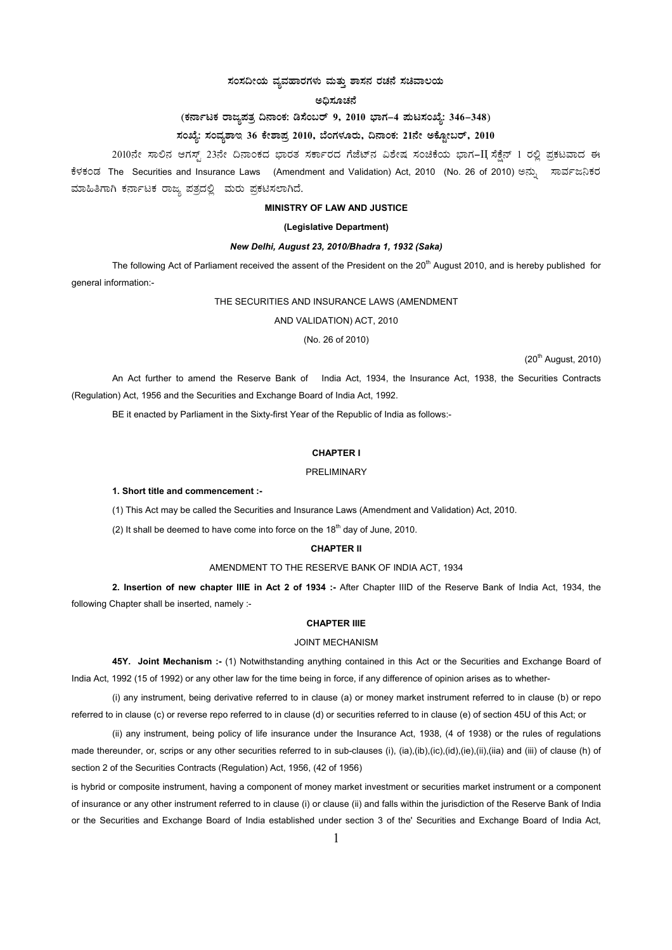## ಸಂಸದೀಯ ವ್ಯವಹಾರಗಳು ಮತ್ತು ಶಾಸನ ರಚನೆ ಸಚಿವಾಲಯ

#### ಅಧಿಸೂಚನೆ

# (ಕರ್ನಾಟಕ ರಾಜ್ಞಪತ್ರ ದಿನಾಂಕ: ಡಿಸೆಂಬರ್ 9, 2010 ಭಾಗ–4 ಮಟಸಂಖ್ಯೆ: 346–348)

# ಸಂಖ್ಯೆ: ಸಂವ್ಯಶಾಇ 36 ಕೇಶಾಪ್ರ 2010, ಬೆಂಗಳೂರು, ದಿನಾಂಕ: 21ನೇ ಅಕ್ಟೋಬರ್, 2010

2010ನೇ ಸಾಲಿನ ಆಗಸ್ಟ್ 23ನೇ ದಿನಾಂಕದ ಭಾರತ ಸರ್ಕಾರದ ಗೆಜೆಟ್ನ ವಿಶೇಷ ಸಂಚಿಕೆಯ ಭಾಗ-II ಸೆಕ್ಷೆನ್ 1 ರಲ್ಲಿ ಪ್ರಕಟವಾದ ಈ ಕೆಳಕಂಡ The Securities and Insurance Laws (Amendment and Validation) Act, 2010 (No. 26 of 2010) ಅನ್ನು ಸಾರ್ವಜನಿಕರ ಮಾಹಿತಿಗಾಗಿ ಕರ್ನಾಟಕ ರಾಜ್ಯ ಪತ್ರದಲ್ಲಿ ಮರು ಪ್ರಕಟಿಸಲಾಗಿದೆ.

### **MINISTRY OF LAW AND JUSTICE**

#### (Legislative Department)

### New Delhi, August 23, 2010/Bhadra 1, 1932 (Saka)

The following Act of Parliament received the assent of the President on the 20<sup>th</sup> August 2010, and is hereby published for general information:-

#### THE SECURITIES AND INSURANCE LAWS (AMENDMENT

AND VALIDATION) ACT, 2010

(No. 26 of 2010)

(20<sup>th</sup> August, 2010)

An Act further to amend the Reserve Bank of India Act, 1934, the Insurance Act, 1938, the Securities Contracts (Regulation) Act, 1956 and the Securities and Exchange Board of India Act, 1992.

BE it enacted by Parliament in the Sixty-first Year of the Republic of India as follows:-

### **CHAPTER I**

#### PRELIMINARY

#### 1. Short title and commencement :-

(1) This Act may be called the Securities and Insurance Laws (Amendment and Validation) Act, 2010.

(2) It shall be deemed to have come into force on the  $18<sup>th</sup>$  day of June, 2010.

### **CHAPTER II**

### AMENDMENT TO THE RESERVE BANK OF INDIA ACT, 1934

2. Insertion of new chapter IIIE in Act 2 of 1934 :- After Chapter IIID of the Reserve Bank of India Act, 1934, the following Chapter shall be inserted, namely :-

### CHAPTER IIIF

#### **JOINT MECHANISM**

45Y. Joint Mechanism :- (1) Notwithstanding anything contained in this Act or the Securities and Exchange Board of India Act, 1992 (15 of 1992) or any other law for the time being in force, if any difference of opinion arises as to whether-

(i) any instrument, being derivative referred to in clause (a) or money market instrument referred to in clause (b) or repo referred to in clause (c) or reverse repo referred to in clause (d) or securities referred to in clause (e) of section 45U of this Act; or

(ii) any instrument, being policy of life insurance under the Insurance Act, 1938, (4 of 1938) or the rules of regulations made thereunder, or, scrips or any other securities referred to in sub-clauses (i), (ia),(ib),(ic),(id),(ie),(ii),(iia) and (iii) of clause (h) of section 2 of the Securities Contracts (Regulation) Act, 1956, (42 of 1956)

is hybrid or composite instrument, having a component of money market investment or securities market instrument or a component of insurance or any other instrument referred to in clause (i) or clause (ii) and falls within the jurisdiction of the Reserve Bank of India or the Securities and Exchange Board of India established under section 3 of the' Securities and Exchange Board of India Act,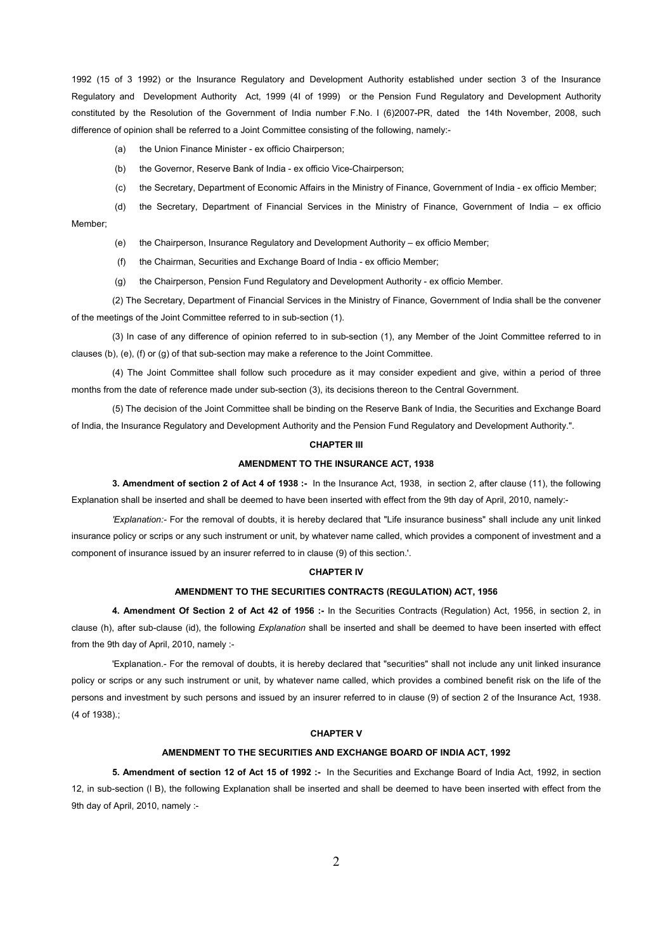1992 (15 of 3 1992) or the Insurance Regulatory and Development Authority established under section 3 of the Insurance Regulatory and Development Authority Act, 1999 (4I of 1999) or the Pension Fund Regulatory and Development Authority constituted by the Resolution of the Government of India number F.No. I (6)2007-PR, dated the 14th November, 2008, such difference of opinion shall be referred to a Joint Committee consisting of the following, namely:-

(a) the Union Finance Minister - ex officio Chairperson;

(b) the Governor, Reserve Bank of India - ex officio Vice-Chairperson;

(c) the Secretary, Department of Economic Affairs in the Ministry of Finance, Government of India - ex officio Member;

(d) the Secretary, Department of Financial Services in the Ministry of Finance, Government of India – ex officio Member;

(e) the Chairperson, Insurance Regulatory and Development Authority – ex officio Member;

(f) the Chairman, Securities and Exchange Board of India - ex officio Member;

(g) the Chairperson, Pension Fund Regulatory and Development Authority - ex officio Member.

(2) The Secretary, Department of Financial Services in the Ministry of Finance, Government of India shall be the convener of the meetings of the Joint Committee referred to in sub-section (1).

(3) In case of any difference of opinion referred to in sub-section (1), any Member of the Joint Committee referred to in clauses (b), (e), (f) or (g) of that sub-section may make a reference to the Joint Committee.

(4) The Joint Committee shall follow such procedure as it may consider expedient and give, within a period of three months from the date of reference made under sub-section (3), its decisions thereon to the Central Government.

(5) The decision of the Joint Committee shall be binding on the Reserve Bank of India, the Securities and Exchange Board of India, the Insurance Regulatory and Development Authority and the Pension Fund Regulatory and Development Authority.".

#### **CHAPTER III**

### **AMENDMENT TO THE INSURANCE ACT, 1938**

**3. Amendment of section 2 of Act 4 of 1938 :-** In the Insurance Act, 1938, in section 2, after clause (11), the following Explanation shall be inserted and shall be deemed to have been inserted with effect from the 9th day of April, 2010, namely:-

*'Explanation:-* For the removal of doubts, it is hereby declared that "Life insurance business" shall include any unit linked insurance policy or scrips or any such instrument or unit, by whatever name called, which provides a component of investment and a component of insurance issued by an insurer referred to in clause (9) of this section.'.

### **CHAPTER IV**

#### **AMENDMENT TO THE SECURITIES CONTRACTS (REGULATION) ACT, 1956**

**4. Amendment Of Section 2 of Act 42 of 1956 :-** In the Securities Contracts (Regulation) Act, 1956, in section 2, in clause (h), after sub-clause (id), the following *Explanation* shall be inserted and shall be deemed to have been inserted with effect from the 9th day of April, 2010, namely :-

'Explanation.- For the removal of doubts, it is hereby declared that "securities" shall not include any unit linked insurance policy or scrips or any such instrument or unit, by whatever name called, which provides a combined benefit risk on the life of the persons and investment by such persons and issued by an insurer referred to in clause (9) of section 2 of the Insurance Act, 1938. (4 of 1938).;

### **CHAPTER V**

#### **AMENDMENT TO THE SECURITIES AND EXCHANGE BOARD OF INDIA ACT, 1992**

**5. Amendment of section 12 of Act 15 of 1992 :-** In the Securities and Exchange Board of India Act, 1992, in section 12, in sub-section (l B), the following Explanation shall be inserted and shall be deemed to have been inserted with effect from the 9th day of April, 2010, namely :-